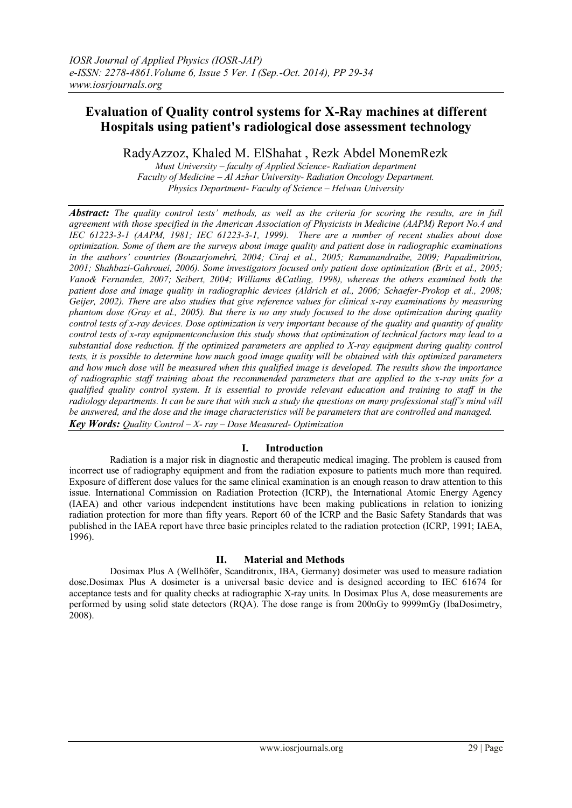# **Evaluation of Quality control systems for X-Ray machines at different Hospitals using patient's radiological dose assessment technology**

RadyAzzoz, Khaled M. ElShahat , Rezk Abdel MonemRezk

*Must University – faculty of Applied Science- Radiation department Faculty of Medicine – Al Azhar University- Radiation Oncology Department. Physics Department- Faculty of Science – Helwan University*

*Abstract: The quality control tests' methods, as well as the criteria for scoring the results, are in full agreement with those specified in the American Association of Physicists in Medicine (AAPM) Report No.4 and IEC 61223-3-1 (AAPM, 1981; IEC 61223-3-1, 1999). There are a number of recent studies about dose optimization. Some of them are the surveys about image quality and patient dose in radiographic examinations in the authors' countries (Bouzarjomehri, 2004; Ciraj et al., 2005; Ramanandraibe, 2009; Papadimitriou, 2001; Shahbazi-Gahrouei, 2006). Some investigators focused only patient dose optimization (Brix et al., 2005; Vano& Fernandez, 2007; Seibert, 2004; Williams &Catling, 1998), whereas the others examined both the patient dose and image quality in radiographic devices (Aldrich et al., 2006; Schaefer-Prokop et al., 2008; Geijer, 2002). There are also studies that give reference values for clinical x-ray examinations by measuring phantom dose (Gray et al., 2005). But there is no any study focused to the dose optimization during quality control tests of x-ray devices. Dose optimization is very important because of the quality and quantity of quality control tests of x-ray equipmentconclusion this study shows that optimization of technical factors may lead to a substantial dose reduction. If the optimized parameters are applied to X-ray equipment during quality control tests, it is possible to determine how much good image quality will be obtained with this optimized parameters and how much dose will be measured when this qualified image is developed. The results show the importance of radiographic staff training about the recommended parameters that are applied to the x-ray units for a qualified quality control system. It is essential to provide relevant education and training to staff in the radiology departments. It can be sure that with such a study the questions on many professional staff's mind will be answered, and the dose and the image characteristics will be parameters that are controlled and managed. Key Words: Quality Control – X- ray – Dose Measured- Optimization*

# **I. Introduction**

Radiation is a major risk in diagnostic and therapeutic medical imaging. The problem is caused from incorrect use of radiography equipment and from the radiation exposure to patients much more than required. Exposure of different dose values for the same clinical examination is an enough reason to draw attention to this issue. International Commission on Radiation Protection (ICRP), the International Atomic Energy Agency (IAEA) and other various independent institutions have been making publications in relation to ionizing radiation protection for more than fifty years. Report 60 of the ICRP and the Basic Safety Standards that was published in the IAEA report have three basic principles related to the radiation protection (ICRP, 1991; IAEA, 1996).

# **II. Material and Methods**

Dosimax Plus A (Wellhöfer, Scanditronix, IBA, Germany) dosimeter was used to measure radiation dose.Dosimax Plus A dosimeter is a universal basic device and is designed according to IEC 61674 for acceptance tests and for quality checks at radiographic X-ray units. In Dosimax Plus A, dose measurements are performed by using solid state detectors (RQA). The dose range is from 200nGy to 9999mGy (IbaDosimetry, 2008).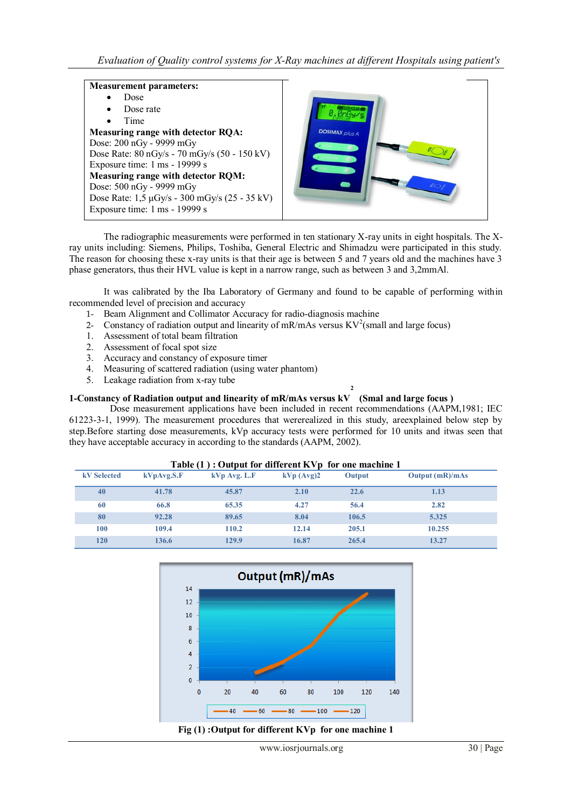#### **Measurement parameters:**

| Dose                                          |  |  |  |  |  |  |  |  |
|-----------------------------------------------|--|--|--|--|--|--|--|--|
| Dose rate                                     |  |  |  |  |  |  |  |  |
| Time                                          |  |  |  |  |  |  |  |  |
| <b>Measuring range with detector RQA:</b>     |  |  |  |  |  |  |  |  |
| Dose: 200 nGy - 9999 mGy                      |  |  |  |  |  |  |  |  |
| Dose Rate: 80 nGy/s - 70 mGy/s (50 - 150 kV)  |  |  |  |  |  |  |  |  |
| Exposure time: 1 ms - 19999 s                 |  |  |  |  |  |  |  |  |
| <b>Measuring range with detector RQM:</b>     |  |  |  |  |  |  |  |  |
| Dose: 500 nGy - 9999 mGy                      |  |  |  |  |  |  |  |  |
| Dose Rate: 1,5 μGy/s - 300 mGy/s (25 - 35 kV) |  |  |  |  |  |  |  |  |
| Exposure time: 1 ms - 19999 s                 |  |  |  |  |  |  |  |  |
|                                               |  |  |  |  |  |  |  |  |



The radiographic measurements were performed in ten stationary X-ray units in eight hospitals. The Xray units including: Siemens, Philips, Toshiba, General Electric and Shimadzu were participated in this study. The reason for choosing these x-ray units is that their age is between 5 and 7 years old and the machines have 3 phase generators, thus their HVL value is kept in a narrow range, such as between 3 and 3,2mmAl.

It was calibrated by the Iba Laboratory of Germany and found to be capable of performing within recommended level of precision and accuracy

- 1- Beam Alignment and Collimator Accuracy for radio-diagnosis machine
- 2- Constancy of radiation output and linearity of mR/mAs versus  $KV^2$  (small and large focus)
- 1. Assessment of total beam filtration
- 2. Assessment of focal spot size
- 3. Accuracy and constancy of exposure timer
- 4. Measuring of scattered radiation (using water phantom)
- 5. Leakage radiation from x-ray tube

### **1-Constancy of Radiation output and linearity of mR/mAs versus kV (Smal and large focus )**

Dose measurement applications have been included in recent recommendations (AAPM,1981; IEC 61223-3-1, 1999). The measurement procedures that wererealized in this study, areexplained below step by step.Before starting dose measurements, kVp accuracy tests were performed for 10 units and itwas seen that they have acceptable accuracy in according to the standards (AAPM, 2002).

**2** 

| Table $(1)$ : Output for different KVp for one machine 1 |            |                |              |        |                   |  |  |  |  |
|----------------------------------------------------------|------------|----------------|--------------|--------|-------------------|--|--|--|--|
| <b>kV</b> Selected                                       | kVpAvg.S.F | $kVp$ Avg. L.F | $kVp$ (Avg)2 | Output | Output $(mR)/mAs$ |  |  |  |  |
| 40                                                       | 41.78      | 45.87          | 2.10         | 22.6   | 1.13              |  |  |  |  |
| 60                                                       | 66.8       | 65.35          | 4.27         | 56.4   | 2.82              |  |  |  |  |
| 80                                                       | 92.28      | 89.65          | 8.04         | 106.5  | 5.325             |  |  |  |  |
| 100                                                      | 109.4      | 110.2          | 12.14        | 205.1  | 10.255            |  |  |  |  |
| 120                                                      | 136.6      | 129.9          | 16.87        | 265.4  | 13.27             |  |  |  |  |



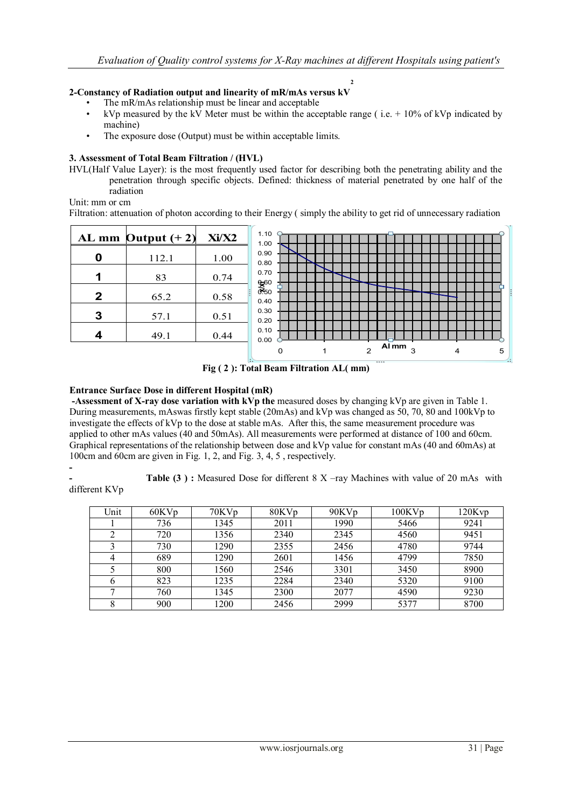**2**

## **2-Constancy of Radiation output and linearity of mR/mAs versus kV**

- The mR/mAs relationship must be linear and acceptable
- kVp measured by the kV Meter must be within the acceptable range (i.e.  $+10\%$  of kVp indicated by machine)
- The exposure dose (Output) must be within acceptable limits.

### **3. Assessment of Total Beam Filtration / (HVL)**

HVL(Half Value Layer): is the most frequently used factor for describing both the penetrating ability and the penetration through specific objects. Defined: thickness of material penetrated by one half of the radiation

Unit: mm or cm

Filtration: attenuation of photon according to their Energy ( simply the ability to get rid of unnecessary radiation



**Fig ( 2 ): Total Beam Filtration AL( mm)**

#### **Entrance Surface Dose in different Hospital (mR)**

**-Assessment of X-ray dose variation with kVp the** measured doses by changing kVp are given in Table 1. During measurements, mAswas firstly kept stable (20mAs) and kVp was changed as 50, 70, 80 and 100kVp to investigate the effects of kVp to the dose at stable mAs. After this, the same measurement procedure was applied to other mAs values (40 and 50mAs). All measurements were performed at distance of 100 and 60cm. Graphical representations of the relationship between dose and kVp value for constant mAs (40 and 60mAs) at 100cm and 60cm are given in Fig. 1, 2, and Fig. 3, 4, 5 , respectively.

**-**

different KVp

**Table (3):** Measured Dose for different 8 X –ray Machines with value of 20 mAs with

| Unit | 60KVp | 70KVp | 80KVp | 90KVp | $100$ K $Vp$ | 120Kvp |
|------|-------|-------|-------|-------|--------------|--------|
|      | 736   | 1345  | 2011  | 1990  | 5466         | 9241   |
|      | 720   | 1356  | 2340  | 2345  | 4560         | 9451   |
|      | 730   | 1290  | 2355  | 2456  | 4780         | 9744   |
|      | 689   | 1290  | 2601  | 1456  | 4799         | 7850   |
|      | 800   | 1560  | 2546  | 3301  | 3450         | 8900   |
| 6    | 823   | 1235  | 2284  | 2340  | 5320         | 9100   |
|      | 760   | 1345  | 2300  | 2077  | 4590         | 9230   |
| 8    | 900   | 1200  | 2456  | 2999  | 5377         | 8700   |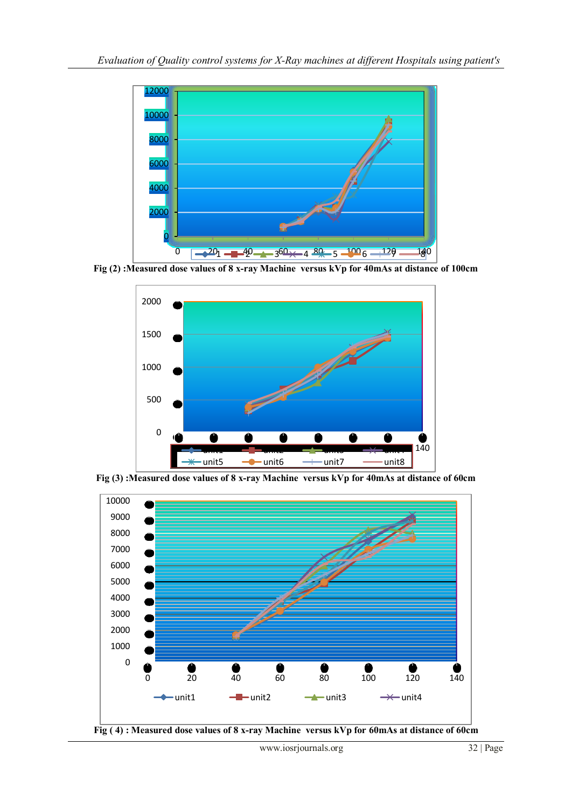

**Fig (2) :Measured dose values of 8 x-ray Machine versus kVp for 40mAs at distance of 100cm**



**Fig (3) :Measured dose values of 8 x-ray Machine versus kVp for 40mAs at distance of 60cm**



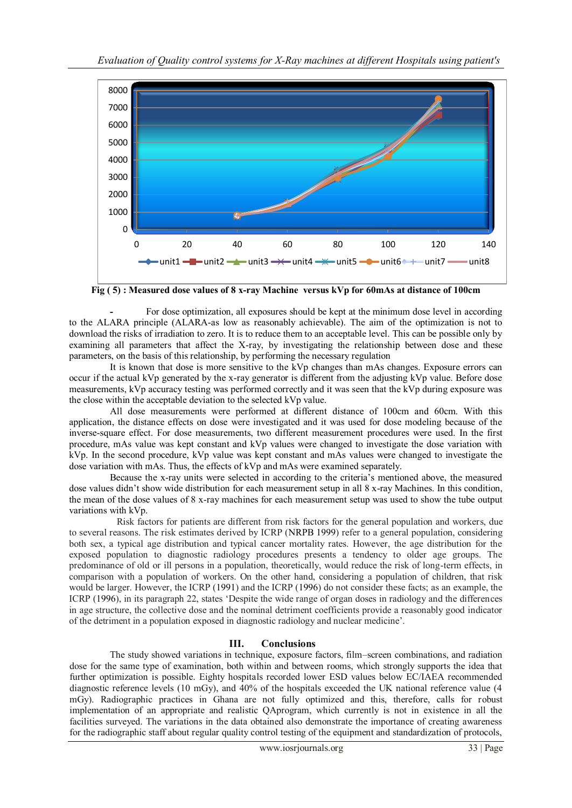

**Fig ( 5) : Measured dose values of 8 x-ray Machine versus kVp for 60mAs at distance of 100cm**

**-** For dose optimization, all exposures should be kept at the minimum dose level in according to the ALARA principle (ALARA-as low as reasonably achievable). The aim of the optimization is not to download the risks of irradiation to zero. It is to reduce them to an acceptable level. This can be possible only by examining all parameters that affect the X-ray, by investigating the relationship between dose and these parameters, on the basis of this relationship, by performing the necessary regulation

It is known that dose is more sensitive to the kVp changes than mAs changes. Exposure errors can occur if the actual kVp generated by the x-ray generator is different from the adjusting kVp value. Before dose measurements, kVp accuracy testing was performed correctly and it was seen that the kVp during exposure was the close within the acceptable deviation to the selected kVp value.

All dose measurements were performed at different distance of 100cm and 60cm. With this application, the distance effects on dose were investigated and it was used for dose modeling because of the inverse-square effect. For dose measurements, two different measurement procedures were used. In the first procedure, mAs value was kept constant and kVp values were changed to investigate the dose variation with kVp. In the second procedure, kVp value was kept constant and mAs values were changed to investigate the dose variation with mAs. Thus, the effects of kVp and mAs were examined separately.

Because the x-ray units were selected in according to the criteria"s mentioned above, the measured dose values didn"t show wide distribution for each measurement setup in all 8 x-ray Machines. In this condition, the mean of the dose values of 8 x-ray machines for each measurement setup was used to show the tube output variations with kVp.

Risk factors for patients are different from risk factors for the general population and workers, due to several reasons. The risk estimates derived by ICRP (NRPB 1999) refer to a general population, considering both sex, a typical age distribution and typical cancer mortality rates. However, the age distribution for the exposed population to diagnostic radiology procedures presents a tendency to older age groups. The predominance of old or ill persons in a population, theoretically, would reduce the risk of long-term effects, in comparison with a population of workers. On the other hand, considering a population of children, that risk would be larger. However, the ICRP (1991) and the ICRP (1996) do not consider these facts; as an example, the ICRP (1996), in its paragraph 22, states "Despite the wide range of organ doses in radiology and the differences in age structure, the collective dose and the nominal detriment coefficients provide a reasonably good indicator of the detriment in a population exposed in diagnostic radiology and nuclear medicine".

# **III. Conclusions**

The study showed variations in technique, exposure factors, film–screen combinations, and radiation dose for the same type of examination, both within and between rooms, which strongly supports the idea that further optimization is possible. Eighty hospitals recorded lower ESD values below EC/IAEA recommended diagnostic reference levels (10 mGy), and 40% of the hospitals exceeded the UK national reference value (4 mGy). Radiographic practices in Ghana are not fully optimized and this, therefore, calls for robust implementation of an appropriate and realistic QAprogram, which currently is not in existence in all the facilities surveyed. The variations in the data obtained also demonstrate the importance of creating awareness for the radiographic staff about regular quality control testing of the equipment and standardization of protocols,